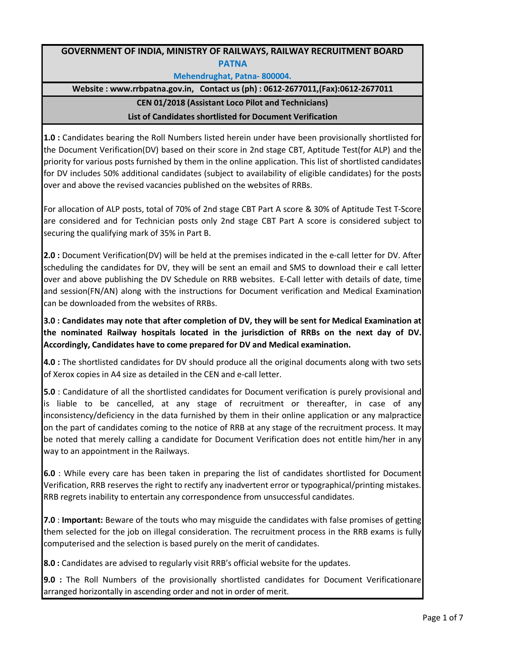## **GOVERNMENT OF INDIA, MINISTRY OF RAILWAYS, RAILWAY RECRUITMENT BOARD PATNA**

## **Mehendrughat, Patna- 800004.**

**Website : www.rrbpatna.gov.in, Contact us (ph) : 0612-2677011,(Fax):0612-2677011**

## **CEN 01/2018 (Assistant Loco Pilot and Technicians)**

## **List of Candidates shortlisted for Document Verification**

**1.0 :** Candidates bearing the Roll Numbers listed herein under have been provisionally shortlisted for the Document Verification(DV) based on their score in 2nd stage CBT, Aptitude Test(for ALP) and the priority for various posts furnished by them in the online application. This list of shortlisted candidates for DV includes 50% additional candidates (subject to availability of eligible candidates) for the posts over and above the revised vacancies published on the websites of RRBs.

For allocation of ALP posts, total of 70% of 2nd stage CBT Part A score & 30% of Aptitude Test T-Score are considered and for Technician posts only 2nd stage CBT Part A score is considered subject to securing the qualifying mark of 35% in Part B.

**2.0 :** Document Verification(DV) will be held at the premises indicated in the e-call letter for DV. After scheduling the candidates for DV, they will be sent an email and SMS to download their e call letter over and above publishing the DV Schedule on RRB websites. E-Call letter with details of date, time and session(FN/AN) along with the instructions for Document verification and Medical Examination can be downloaded from the websites of RRBs.

**3.0 : Candidates may note that after completion of DV, they will be sent for Medical Examination at the nominated Railway hospitals located in the jurisdiction of RRBs on the next day of DV. Accordingly, Candidates have to come prepared for DV and Medical examination.**

**4.0 :** The shortlisted candidates for DV should produce all the original documents along with two sets of Xerox copies in A4 size as detailed in the CEN and e-call letter.

**5.0** : Candidature of all the shortlisted candidates for Document verification is purely provisional and is liable to be cancelled, at any stage of recruitment or thereafter, in case of any inconsistency/deficiency in the data furnished by them in their online application or any malpractice on the part of candidates coming to the notice of RRB at any stage of the recruitment process. It may be noted that merely calling a candidate for Document Verification does not entitle him/her in any way to an appointment in the Railways.

**6.0** : While every care has been taken in preparing the list of candidates shortlisted for Document Verification, RRB reserves the right to rectify any inadvertent error or typographical/printing mistakes. RRB regrets inability to entertain any correspondence from unsuccessful candidates.

**7.0** : **Important:** Beware of the touts who may misguide the candidates with false promises of getting them selected for the job on illegal consideration. The recruitment process in the RRB exams is fully computerised and the selection is based purely on the merit of candidates.

**8.0 :** Candidates are advised to regularly visit RRB's official website for the updates.

**9.0 :** The Roll Numbers of the provisionally shortlisted candidates for Document Verificationare arranged horizontally in ascending order and not in order of merit.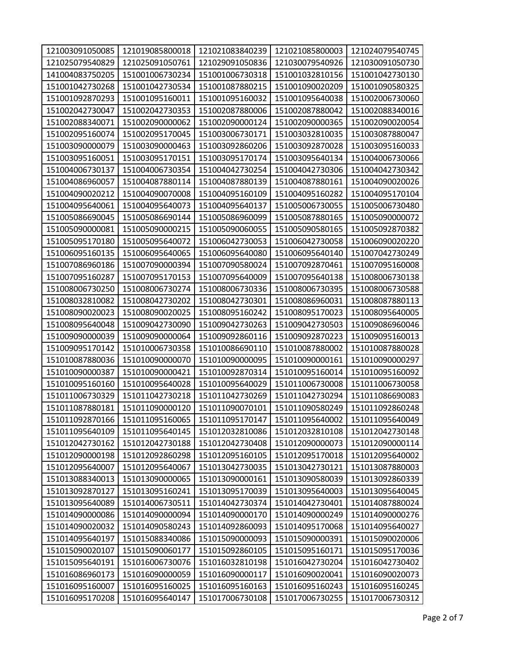| 121003091050085 | 121019085800018 | 121021083840239 | 121021085800003 | 121024079540745 |
|-----------------|-----------------|-----------------|-----------------|-----------------|
| 121025079540829 | 121025091050761 | 121029091050836 | 121030079540926 | 121030091050730 |
| 141004083750205 | 151001006730234 | 151001006730318 | 151001032810156 | 151001042730130 |
| 151001042730268 | 151001042730534 | 151001087880215 | 151001090020209 | 151001090580325 |
| 151001092870293 | 151001095160011 | 151001095160032 | 151001095640038 | 151002006730060 |
| 151002042730047 | 151002042730353 | 151002087880006 | 151002087880042 | 151002088340016 |
| 151002088340071 | 151002090000062 | 151002090000124 | 151002090000365 | 151002090020054 |
| 151002095160074 | 151002095170045 | 151003006730171 | 151003032810035 | 151003087880047 |
| 151003090000079 | 151003090000463 | 151003092860206 | 151003092870028 | 151003095160033 |
| 151003095160051 | 151003095170151 | 151003095170174 | 151003095640134 | 151004006730066 |
| 151004006730137 | 151004006730354 | 151004042730254 | 151004042730306 | 151004042730342 |
| 151004086960057 | 151004087880114 | 151004087880139 | 151004087880161 | 151004090020026 |
| 151004090020212 | 151004090070008 | 151004095160109 | 151004095160282 | 151004095170104 |
| 151004095640061 | 151004095640073 | 151004095640137 | 151005006730055 | 151005006730480 |
| 151005086690045 | 151005086690144 | 151005086960099 | 151005087880165 | 151005090000072 |
| 151005090000081 | 151005090000215 | 151005090060055 | 151005090580165 | 151005092870382 |
| 151005095170180 | 151005095640072 | 151006042730053 | 151006042730058 | 151006090020220 |
| 151006095160135 | 151006095640065 | 151006095640080 | 151006095640140 | 151007042730249 |
| 151007086960186 | 151007090000394 | 151007090580024 | 151007092870461 | 151007095160008 |
| 151007095160287 | 151007095170153 | 151007095640009 | 151007095640138 | 151008006730138 |
| 151008006730250 | 151008006730274 | 151008006730336 | 151008006730395 | 151008006730588 |
| 151008032810082 | 151008042730202 | 151008042730301 | 151008086960031 | 151008087880113 |
| 151008090020023 | 151008090020025 | 151008095160242 | 151008095170023 | 151008095640005 |
| 151008095640048 | 151009042730090 | 151009042730263 | 151009042730503 | 151009086960046 |
| 151009090000039 | 151009090000064 | 151009092860116 | 151009092870223 | 151009095160013 |
| 151009095170142 | 151010006730358 | 151010086690110 | 151010087880002 | 151010087880028 |
| 151010087880036 | 151010090000070 | 151010090000095 | 151010090000161 | 151010090000297 |
| 151010090000387 | 151010090000421 | 151010092870314 | 151010095160014 | 151010095160092 |
| 151010095160160 | 151010095640028 | 151010095640029 | 151011006730008 | 151011006730058 |
| 151011006730329 | 151011042730218 | 151011042730269 | 151011042730294 | 151011086690083 |
| 151011087880181 | 151011090000120 | 151011090070101 | 151011090580249 | 151011092860248 |
| 151011092870166 | 151011095160065 | 151011095170147 | 151011095640002 | 151011095640049 |
| 151011095640109 | 151011095640145 | 151012032810086 | 151012032810108 | 151012042730148 |
| 151012042730162 | 151012042730188 | 151012042730408 | 151012090000073 | 151012090000114 |
| 151012090000198 | 151012092860298 | 151012095160105 | 151012095170018 | 151012095640002 |
| 151012095640007 | 151012095640067 | 151013042730035 | 151013042730121 | 151013087880003 |
| 151013088340013 | 151013090000065 | 151013090000161 | 151013090580039 | 151013092860339 |
| 151013092870127 | 151013095160241 | 151013095170039 | 151013095640003 | 151013095640045 |
| 151013095640089 | 151014006730511 | 151014042730374 | 151014042730401 | 151014087880024 |
| 151014090000086 | 151014090000094 | 151014090000170 | 151014090000249 | 151014090000276 |
| 151014090020032 | 151014090580243 | 151014092860093 | 151014095170068 | 151014095640027 |
| 151014095640197 | 151015088340086 | 151015090000093 | 151015090000391 | 151015090020006 |
| 151015090020107 | 151015090060177 | 151015092860105 | 151015095160171 | 151015095170036 |
| 151015095640191 | 151016006730076 | 151016032810198 | 151016042730204 | 151016042730402 |
| 151016086960173 | 151016090000059 | 151016090000117 | 151016090020041 | 151016090020073 |
| 151016095160007 | 151016095160025 | 151016095160163 | 151016095160243 | 151016095160245 |
| 151016095170208 | 151016095640147 | 151017006730108 | 151017006730255 | 151017006730312 |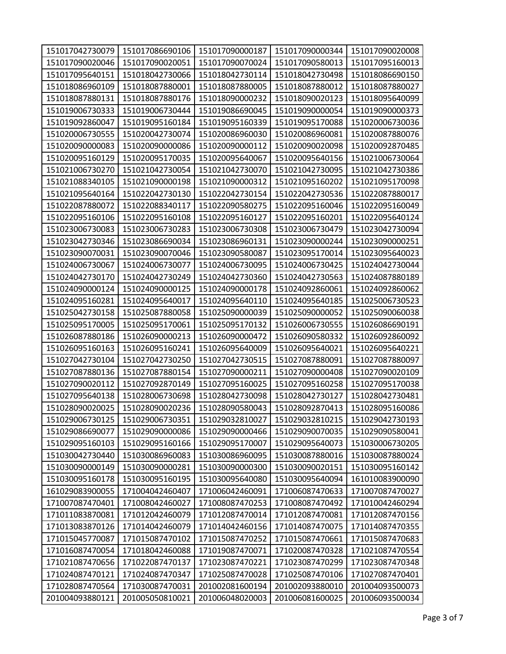| 151017042730079<br>151017086690106<br>151017090000187<br>151017090000344<br>151017090020008<br>151017090020046<br>151017090020051<br>151017090070024<br>151017090580013<br>151017095160013<br>151017095640151<br>151018042730066<br>151018042730114<br>151018042730498<br>151018086690150<br>151018086960109<br>151018087880001<br>151018087880005<br>151018087880012<br>151018087880027<br>151018087880176<br>151018090000232<br>151018095640099<br>151018087880131<br>151018090020123<br>151019006730333<br>151019006730444<br>151019086690045<br>151019090000054<br>151019090000373<br>151019092860047<br>151019095160184<br>151019095160339<br>151019095170088<br>151020006730036<br>151020006730555<br>151020042730074<br>151020086960030<br>151020087880076<br>151020086960081<br>151020090000083<br>151020090000086<br>151020090000112<br>151020090020098<br>151020092870485 |                 |
|-------------------------------------------------------------------------------------------------------------------------------------------------------------------------------------------------------------------------------------------------------------------------------------------------------------------------------------------------------------------------------------------------------------------------------------------------------------------------------------------------------------------------------------------------------------------------------------------------------------------------------------------------------------------------------------------------------------------------------------------------------------------------------------------------------------------------------------------------------------------------------------|-----------------|
|                                                                                                                                                                                                                                                                                                                                                                                                                                                                                                                                                                                                                                                                                                                                                                                                                                                                                     |                 |
|                                                                                                                                                                                                                                                                                                                                                                                                                                                                                                                                                                                                                                                                                                                                                                                                                                                                                     |                 |
|                                                                                                                                                                                                                                                                                                                                                                                                                                                                                                                                                                                                                                                                                                                                                                                                                                                                                     |                 |
|                                                                                                                                                                                                                                                                                                                                                                                                                                                                                                                                                                                                                                                                                                                                                                                                                                                                                     |                 |
|                                                                                                                                                                                                                                                                                                                                                                                                                                                                                                                                                                                                                                                                                                                                                                                                                                                                                     |                 |
|                                                                                                                                                                                                                                                                                                                                                                                                                                                                                                                                                                                                                                                                                                                                                                                                                                                                                     |                 |
|                                                                                                                                                                                                                                                                                                                                                                                                                                                                                                                                                                                                                                                                                                                                                                                                                                                                                     |                 |
|                                                                                                                                                                                                                                                                                                                                                                                                                                                                                                                                                                                                                                                                                                                                                                                                                                                                                     |                 |
|                                                                                                                                                                                                                                                                                                                                                                                                                                                                                                                                                                                                                                                                                                                                                                                                                                                                                     |                 |
| 151020095160129<br>151020095170035<br>151020095640067<br>151020095640156<br>151021006730064                                                                                                                                                                                                                                                                                                                                                                                                                                                                                                                                                                                                                                                                                                                                                                                         |                 |
| 151021006730270<br>151021042730054<br>151021042730070<br>151021042730095<br>151021042730386                                                                                                                                                                                                                                                                                                                                                                                                                                                                                                                                                                                                                                                                                                                                                                                         |                 |
| 151021088340105<br>151021090000198<br>151021090000312<br>151021095160202<br>151021095170098                                                                                                                                                                                                                                                                                                                                                                                                                                                                                                                                                                                                                                                                                                                                                                                         |                 |
| 151021095640164<br>151022042730130<br>151022087880017<br>151022042730154<br>151022042730536                                                                                                                                                                                                                                                                                                                                                                                                                                                                                                                                                                                                                                                                                                                                                                                         |                 |
| 151022087880072<br>151022088340117<br>151022090580275<br>151022095160046<br>151022095160049                                                                                                                                                                                                                                                                                                                                                                                                                                                                                                                                                                                                                                                                                                                                                                                         |                 |
| 151022095160106<br>151022095160108<br>151022095160127<br>151022095160201<br>151022095640124                                                                                                                                                                                                                                                                                                                                                                                                                                                                                                                                                                                                                                                                                                                                                                                         |                 |
| 151023006730083<br>151023006730283<br>151023006730308<br>151023006730479<br>151023042730094                                                                                                                                                                                                                                                                                                                                                                                                                                                                                                                                                                                                                                                                                                                                                                                         |                 |
| 151023042730346<br>151023086690034<br>151023086960131<br>151023090000244<br>151023090000251                                                                                                                                                                                                                                                                                                                                                                                                                                                                                                                                                                                                                                                                                                                                                                                         |                 |
| 151023090070031<br>151023090070046<br>151023095170014<br>151023095640023<br>151023090580087                                                                                                                                                                                                                                                                                                                                                                                                                                                                                                                                                                                                                                                                                                                                                                                         |                 |
| 151024006730067<br>151024006730077<br>151024006730095<br>151024006730425<br>151024042730044                                                                                                                                                                                                                                                                                                                                                                                                                                                                                                                                                                                                                                                                                                                                                                                         |                 |
| 151024042730170<br>151024042730249<br>151024042730360<br>151024042730563<br>151024087880189                                                                                                                                                                                                                                                                                                                                                                                                                                                                                                                                                                                                                                                                                                                                                                                         |                 |
| 151024090000124<br>151024090000125<br>151024090000178<br>151024092860061<br>151024092860062                                                                                                                                                                                                                                                                                                                                                                                                                                                                                                                                                                                                                                                                                                                                                                                         |                 |
| 151024095160281<br>151024095640017<br>151024095640110<br>151024095640185<br>151025006730523                                                                                                                                                                                                                                                                                                                                                                                                                                                                                                                                                                                                                                                                                                                                                                                         |                 |
| 151025042730158<br>151025087880058<br>151025090060038<br>151025090000039<br>151025090000052                                                                                                                                                                                                                                                                                                                                                                                                                                                                                                                                                                                                                                                                                                                                                                                         |                 |
| 151025095170005<br>151025095170061<br>151025095170132<br>151026006730555<br>151026086690191                                                                                                                                                                                                                                                                                                                                                                                                                                                                                                                                                                                                                                                                                                                                                                                         |                 |
| 151026087880186<br>151026090000213<br>151026090000472<br>151026090580332<br>151026092860092                                                                                                                                                                                                                                                                                                                                                                                                                                                                                                                                                                                                                                                                                                                                                                                         |                 |
| 151026095160163<br>151026095160241<br>151026095640009<br>151026095640021<br>151026095640221                                                                                                                                                                                                                                                                                                                                                                                                                                                                                                                                                                                                                                                                                                                                                                                         |                 |
| 151027042730104<br>151027042730250<br>151027042730515<br>151027087880091<br>151027087880097                                                                                                                                                                                                                                                                                                                                                                                                                                                                                                                                                                                                                                                                                                                                                                                         |                 |
| 151027087880154<br>151027090020109<br>151027087880136<br>151027090000211<br>151027090000408                                                                                                                                                                                                                                                                                                                                                                                                                                                                                                                                                                                                                                                                                                                                                                                         |                 |
| 151027095170038<br>151027090020112<br>151027092870149<br>151027095160025<br>151027095160258                                                                                                                                                                                                                                                                                                                                                                                                                                                                                                                                                                                                                                                                                                                                                                                         |                 |
| 151028042730481<br>151027095640138<br>151028006730698<br>151028042730098<br>151028042730127                                                                                                                                                                                                                                                                                                                                                                                                                                                                                                                                                                                                                                                                                                                                                                                         |                 |
| 151028095160086<br>151028090020025<br>151028090020236<br>151028090580043<br>151028092870413                                                                                                                                                                                                                                                                                                                                                                                                                                                                                                                                                                                                                                                                                                                                                                                         |                 |
| 151029006730125<br>151029006730351<br>151029032810027<br>151029032810215<br>151029042730193                                                                                                                                                                                                                                                                                                                                                                                                                                                                                                                                                                                                                                                                                                                                                                                         |                 |
| 151029086690077<br>151029090000086<br>151029090000466<br>151029090070035<br>151029090580041                                                                                                                                                                                                                                                                                                                                                                                                                                                                                                                                                                                                                                                                                                                                                                                         |                 |
| 151029095160103<br>151029095160166<br>151029095170007<br>151029095640073<br>151030006730205                                                                                                                                                                                                                                                                                                                                                                                                                                                                                                                                                                                                                                                                                                                                                                                         |                 |
| 151030086960083<br>151030086960095<br>151030087880016<br>151030042730440<br>151030087880024                                                                                                                                                                                                                                                                                                                                                                                                                                                                                                                                                                                                                                                                                                                                                                                         |                 |
| 151030090000149<br>151030090000281<br>151030090000300<br>151030090020151<br>151030095160142                                                                                                                                                                                                                                                                                                                                                                                                                                                                                                                                                                                                                                                                                                                                                                                         |                 |
| 151030095160178<br>151030095160195<br>151030095640080<br>151030095640094<br>161010083900090                                                                                                                                                                                                                                                                                                                                                                                                                                                                                                                                                                                                                                                                                                                                                                                         |                 |
| 161029083900055<br>171004042460407<br>171006042460091<br>171006087470633<br>171007087470027                                                                                                                                                                                                                                                                                                                                                                                                                                                                                                                                                                                                                                                                                                                                                                                         |                 |
| 171007087470401<br>171008042460027<br>171008087470253<br>171008087470492<br>171010042460294                                                                                                                                                                                                                                                                                                                                                                                                                                                                                                                                                                                                                                                                                                                                                                                         |                 |
| 171011083870081<br>171012042460079<br>171012087470014<br>171012087470081<br>171012087470156                                                                                                                                                                                                                                                                                                                                                                                                                                                                                                                                                                                                                                                                                                                                                                                         |                 |
| 171013083870126<br>171014042460079<br>171014042460156<br>171014087470075<br>171014087470355                                                                                                                                                                                                                                                                                                                                                                                                                                                                                                                                                                                                                                                                                                                                                                                         |                 |
| 171015045770087<br>171015087470102<br>171015087470252<br>171015087470661<br>171015087470683                                                                                                                                                                                                                                                                                                                                                                                                                                                                                                                                                                                                                                                                                                                                                                                         |                 |
| 171016087470054<br>171018042460088<br>171019087470071<br>171020087470328<br>171021087470554                                                                                                                                                                                                                                                                                                                                                                                                                                                                                                                                                                                                                                                                                                                                                                                         |                 |
| 171021087470656<br>171023087470221<br>171023087470348<br>171022087470137<br>171023087470299                                                                                                                                                                                                                                                                                                                                                                                                                                                                                                                                                                                                                                                                                                                                                                                         |                 |
| 171024087470121<br>171024087470347<br>171025087470028<br>171025087470106<br>171027087470401                                                                                                                                                                                                                                                                                                                                                                                                                                                                                                                                                                                                                                                                                                                                                                                         |                 |
| 201002081600194<br>201004093500073<br>171028087470564<br>171030087470031<br>201002093880010                                                                                                                                                                                                                                                                                                                                                                                                                                                                                                                                                                                                                                                                                                                                                                                         |                 |
|                                                                                                                                                                                                                                                                                                                                                                                                                                                                                                                                                                                                                                                                                                                                                                                                                                                                                     | 201006093500034 |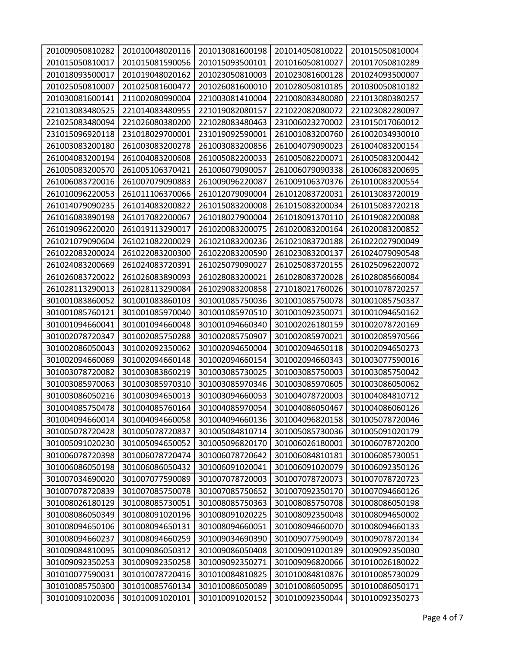| 201009050810282 | 201010048020116 | 201013081600198 | 201014050810022 | 201015050810004 |
|-----------------|-----------------|-----------------|-----------------|-----------------|
| 201015050810017 | 201015081590056 | 201015093500101 | 201016050810027 | 201017050810289 |
| 201018093500017 | 201019048020162 | 201023050810003 | 201023081600128 | 201024093500007 |
| 201025050810007 | 201025081600472 | 201026081600010 | 201028050810185 | 201030050810182 |
| 201030081600141 | 211002080990004 | 221003081410004 | 221008083480080 | 221013080380257 |
| 221013083480525 | 221014083480955 | 221019082080157 | 221022082080072 | 221023082280097 |
| 221025083480094 | 221026080380200 | 221028083480463 | 231006023270002 | 231015017060012 |
| 231015096920118 | 231018029700001 | 231019092590001 | 261001083200760 | 261002034930010 |
| 261003083200180 | 261003083200278 | 261003083200856 | 261004079090023 | 261004083200154 |
| 261004083200194 | 261004083200608 | 261005082200033 | 261005082200071 | 261005083200442 |
| 261005083200570 | 261005106370421 | 261006079090057 | 261006079090338 | 261006083200695 |
| 261006083720016 | 261007079090883 | 261009096220087 | 261009106370376 | 261010083200554 |
| 261010096220053 | 261011106370066 | 261012079090004 | 261012083720031 | 261013083720019 |
| 261014079090235 | 261014083200822 | 261015083200008 | 261015083200034 | 261015083720218 |
| 261016083890198 | 261017082200067 | 261018027900004 | 261018091370110 | 261019082200088 |
| 261019096220020 | 261019113290017 | 261020083200075 | 261020083200164 | 261020083200852 |
| 261021079090604 | 261021082200029 | 261021083200236 | 261021083720188 | 261022027900049 |
| 261022083200024 | 261022083200300 | 261022083200590 | 261023083200137 | 261024079090548 |
| 261024083200669 | 261024083720391 | 261025079090027 | 261025083720155 | 261025096220072 |
| 261026083720022 | 261026083890093 | 261028083200021 | 261028083720028 | 261028085660084 |
| 261028113290013 | 261028113290084 | 261029083200858 | 271018021760026 | 301001078720257 |
| 301001083860052 | 301001083860103 | 301001085750036 | 301001085750078 | 301001085750337 |
| 301001085760121 | 301001085970040 | 301001085970510 | 301001092350071 | 301001094650162 |
| 301001094660041 | 301001094660048 | 301001094660340 | 301002026180159 | 301002078720169 |
| 301002078720347 | 301002085750288 | 301002085750907 | 301002085970021 | 301002085970566 |
| 301002086050043 | 301002092350062 | 301002094650004 | 301002094650118 | 301002094650273 |
| 301002094660069 | 301002094660148 | 301002094660154 | 301002094660343 | 301003077590016 |
| 301003078720082 | 301003083860219 | 301003085730025 | 301003085750003 | 301003085750042 |
| 301003085970063 | 301003085970310 | 301003085970346 | 301003085970605 | 301003086050062 |
| 301003086050216 | 301003094650013 | 301003094660053 | 301004078720003 | 301004084810712 |
| 301004085750478 | 301004085760164 | 301004085970054 | 301004086050467 | 301004086060126 |
| 301004094660014 | 301004094660058 | 301004094660136 | 301004096820158 | 301005078720046 |
| 301005078720428 | 301005078720837 | 301005084810714 | 301005085730036 | 301005091020179 |
| 301005091020230 | 301005094650052 | 301005096820170 | 301006026180001 | 301006078720200 |
| 301006078720398 | 301006078720474 | 301006078720642 | 301006084810181 | 301006085730051 |
| 301006086050198 | 301006086050432 | 301006091020041 | 301006091020079 | 301006092350126 |
| 301007034690020 | 301007077590089 | 301007078720003 | 301007078720073 | 301007078720723 |
| 301007078720839 | 301007085750078 | 301007085750652 | 301007092350170 | 301007094660126 |
| 301008026180129 | 301008085730051 | 301008085750363 | 301008085750708 | 301008086050198 |
| 301008086050349 | 301008091020196 | 301008091020225 | 301008092350048 | 301008094650002 |
| 301008094650106 | 301008094650131 | 301008094660051 | 301008094660070 | 301008094660133 |
| 301008094660237 | 301008094660259 | 301009034690390 | 301009077590049 | 301009078720134 |
| 301009084810095 | 301009086050312 | 301009086050408 | 301009091020189 | 301009092350030 |
| 301009092350253 | 301009092350258 | 301009092350271 | 301009096820066 | 301010026180022 |
| 301010077590031 | 301010078720416 | 301010084810825 | 301010084810876 | 301010085730029 |
| 301010085750300 | 301010085760134 | 301010086050089 | 301010086050095 | 301010086050171 |
| 301010091020036 | 301010091020101 | 301010091020152 | 301010092350044 | 301010092350273 |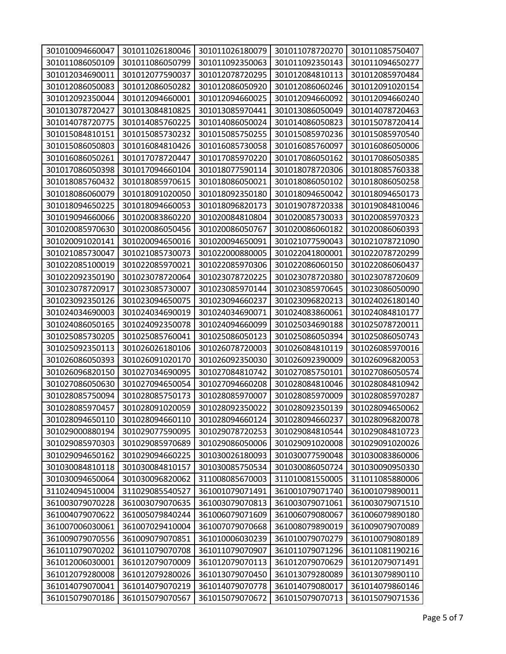| 301010094660047 | 301011026180046 | 301011026180079 | 301011078720270 | 301011085750407 |
|-----------------|-----------------|-----------------|-----------------|-----------------|
| 301011086050109 | 301011086050799 | 301011092350063 | 301011092350143 | 301011094650277 |
| 301012034690011 | 301012077590037 | 301012078720295 | 301012084810113 | 301012085970484 |
| 301012086050083 | 301012086050282 | 301012086050920 | 301012086060246 | 301012091020154 |
| 301012092350044 | 301012094660001 | 301012094660025 | 301012094660092 | 301012094660240 |
| 301013078720427 | 301013084810825 | 301013085970441 | 301013086050049 | 301014078720463 |
| 301014078720775 | 301014085760225 | 301014086050024 | 301014086050823 | 301015078720414 |
| 301015084810151 | 301015085730232 | 301015085750255 | 301015085970236 | 301015085970540 |
| 301015086050803 | 301016084810426 | 301016085730058 | 301016085760097 | 301016086050006 |
| 301016086050261 | 301017078720447 | 301017085970220 | 301017086050162 | 301017086050385 |
| 301017086050398 | 301017094660104 | 301018077590114 | 301018078720306 | 301018085760338 |
| 301018085760432 | 301018085970615 | 301018086050021 | 301018086050102 | 301018086050258 |
| 301018086060079 | 301018091020050 | 301018092350180 | 301018094650042 | 301018094650173 |
| 301018094650225 | 301018094660053 | 301018096820173 | 301019078720338 | 301019084810046 |
| 301019094660066 | 301020083860220 | 301020084810804 | 301020085730033 | 301020085970323 |
| 301020085970630 | 301020086050456 | 301020086050767 | 301020086060182 | 301020086060393 |
| 301020091020141 | 301020094650016 | 301020094650091 | 301021077590043 | 301021078721090 |
| 301021085730047 | 301021085730073 | 301022000880005 | 301022041800001 | 301022078720299 |
| 301022085100019 | 301022085970021 | 301022085970306 | 301022086060150 | 301022086060437 |
| 301022092350190 | 301023078720064 | 301023078720225 | 301023078720380 | 301023078720609 |
| 301023078720917 | 301023085730007 | 301023085970144 | 301023085970645 | 301023086050090 |
| 301023092350126 | 301023094650075 | 301023094660237 | 301023096820213 | 301024026180140 |
| 301024034690003 | 301024034690019 | 301024034690071 | 301024083860061 | 301024084810177 |
| 301024086050165 | 301024092350078 | 301024094660099 | 301025034690188 | 301025078720011 |
| 301025085730205 | 301025085760041 | 301025086050123 | 301025086050394 | 301025086050743 |
| 301025092350113 | 301026026180106 | 301026078720003 | 301026084810119 | 301026085970016 |
| 301026086050393 | 301026091020170 | 301026092350030 | 301026092390009 | 301026096820053 |
| 301026096820150 | 301027034690095 | 301027084810742 | 301027085750101 | 301027086050574 |
| 301027086050630 | 301027094650054 | 301027094660208 | 301028084810046 | 301028084810942 |
| 301028085750094 | 301028085750173 | 301028085970007 | 301028085970009 | 301028085970287 |
| 301028085970457 | 301028091020059 | 301028092350022 | 301028092350139 | 301028094650062 |
| 301028094650110 | 301028094660110 | 301028094660124 | 301028094660237 | 301028096820078 |
| 301029000880194 | 301029077590095 | 301029078720253 | 301029084810544 | 301029084810723 |
| 301029085970303 | 301029085970689 | 301029086050006 | 301029091020008 | 301029091020026 |
| 301029094650162 | 301029094660225 | 301030026180093 | 301030077590048 | 301030083860006 |
| 301030084810118 | 301030084810157 | 301030085750534 | 301030086050724 | 301030090950330 |
| 301030094650064 | 301030096820062 | 311008085670003 | 311010081550005 | 311011085880006 |
| 311024094510004 | 311029085540527 | 361001079071491 | 361001079071740 | 361001079890011 |
| 361003079070228 | 361003079070635 | 361003079070813 | 361003079071061 | 361003079071510 |
| 361004079070622 | 361005079840244 | 361006079071609 | 361006079080067 | 361006079890180 |
| 361007006030061 | 361007029410004 | 361007079070668 | 361008079890019 | 361009079070089 |
| 361009079070556 | 361009079070851 | 361010006030239 | 361010079070279 | 361010079080189 |
| 361011079070202 | 361011079070708 | 361011079070907 | 361011079071296 | 361011081190216 |
| 361012006030001 | 361012079070009 | 361012079070113 | 361012079070629 | 361012079071491 |
| 361012079280008 | 361012079280026 | 361013079070450 | 361013079280089 | 361013079890110 |
| 361014079070041 | 361014079070219 | 361014079070778 | 361014079080017 | 361014079860146 |
| 361015079070186 | 361015079070567 | 361015079070672 | 361015079070713 | 361015079071536 |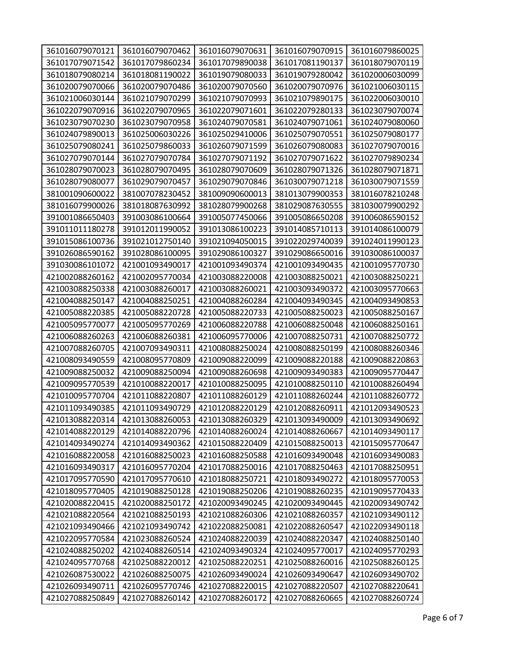| 361016079070121 | 361016079070462 | 361016079070631 | 361016079070915 | 361016079860025 |
|-----------------|-----------------|-----------------|-----------------|-----------------|
| 361017079071542 | 361017079860234 | 361017079890038 | 361017081190137 | 361018079070119 |
| 361018079080214 | 361018081190022 | 361019079080033 | 361019079280042 | 361020006030099 |
| 361020079070066 | 361020079070486 | 361020079070560 | 361020079070976 | 361021006030115 |
| 361021006030144 | 361021079070299 | 361021079070993 | 361021079890175 | 361022006030010 |
| 361022079070916 | 361022079070965 | 361022079071601 | 361022079280133 | 361023079070074 |
| 361023079070230 | 361023079070958 | 361024079070581 | 361024079071061 | 361024079080060 |
| 361024079890013 | 361025006030226 | 361025029410006 | 361025079070551 | 361025079080177 |
| 361025079080241 | 361025079860033 | 361026079071599 | 361026079080083 | 361027079070016 |
| 361027079070144 | 361027079070784 | 361027079071192 | 361027079071622 | 361027079890234 |
| 361028079070023 | 361028079070495 | 361028079070609 | 361028079071326 | 361028079071871 |
| 361028079080077 | 361029079070457 | 361029079070846 | 361030079071218 | 361030079071559 |
| 381001090600022 | 381007078230452 | 381009090600013 | 381013079900353 | 381016078210248 |
| 381016079900026 | 381018087630992 | 381028079900268 | 381029087630555 | 381030079900292 |
| 391001086650403 | 391003086100664 | 391005077450066 | 391005086650208 | 391006086590152 |
| 391011011180278 | 391012011990052 | 391013086100223 | 391014085710113 | 391014086100079 |
| 391015086100736 | 391021012750140 | 391021094050015 | 391022029740039 | 391024011990123 |
| 391026086590162 | 391028086100095 | 391029086100327 | 391029086650016 | 391030086100037 |
| 391030086101072 | 421001093490017 | 421001093490374 | 421001093490435 | 421001095770730 |
| 421002088260162 | 421002095770034 | 421003088220008 | 421003088250021 | 421003088250221 |
| 421003088250338 | 421003088260017 | 421003088260021 | 421003093490372 | 421003095770663 |
| 421004088250147 | 421004088250251 | 421004088260284 | 421004093490345 | 421004093490853 |
| 421005088220385 | 421005088220728 | 421005088220733 | 421005088250023 | 421005088250167 |
| 421005095770077 | 421005095770269 | 421006088220788 | 421006088250048 | 421006088250161 |
| 421006088260263 | 421006088260381 | 421006095770006 | 421007088250731 | 421007088250772 |
| 421007088260705 | 421007093490311 | 421008088250024 | 421008088250199 | 421008088260346 |
| 421008093490559 | 421008095770809 | 421009088220099 | 421009088220188 | 421009088220863 |
| 421009088250032 | 421009088250094 | 421009088260698 | 421009093490383 | 421009095770447 |
| 421009095770539 | 421010088220017 | 421010088250095 | 421010088250110 | 421010088260494 |
| 421010095770704 | 421011088220807 | 421011088260129 | 421011088260244 | 421011088260772 |
| 421011093490385 | 421011093490729 | 421012088220129 | 421012088260911 | 421012093490523 |
| 421013088220314 | 421013088260053 | 421013088260329 | 421013093490009 | 421013093490692 |
| 421014088220129 | 421014088220796 | 421014088260024 | 421014088260667 | 421014093490117 |
| 421014093490274 | 421014093490362 | 421015088220409 | 421015088250013 | 421015095770647 |
| 421016088220058 | 421016088250023 | 421016088250588 | 421016093490048 | 421016093490083 |
| 421016093490317 | 421016095770204 | 421017088250016 | 421017088250463 | 421017088250951 |
| 421017095770590 | 421017095770610 | 421018088250721 | 421018093490272 | 421018095770053 |
| 421018095770405 | 421019088250128 | 421019088250206 | 421019088260235 | 421019095770433 |
| 421020088220415 | 421020088250172 | 421020093490245 | 421020093490445 | 421020093490742 |
| 421021088220564 | 421021088250193 | 421021088260306 | 421021088260357 | 421021093490112 |
| 421021093490466 | 421021093490742 | 421022088250081 | 421022088260547 | 421022093490118 |
| 421022095770584 | 421023088260524 | 421024088220039 | 421024088220347 | 421024088250140 |
| 421024088250202 | 421024088260514 | 421024093490324 | 421024095770017 | 421024095770293 |
| 421024095770768 | 421025088220012 | 421025088220251 | 421025088260016 | 421025088260125 |
| 421026087530022 | 421026088250075 | 421026093490024 | 421026093490647 | 421026093490702 |
| 421026093490711 | 421026095770746 | 421027088220015 | 421027088220507 | 421027088220641 |
| 421027088250849 | 421027088260142 | 421027088260172 | 421027088260665 | 421027088260724 |